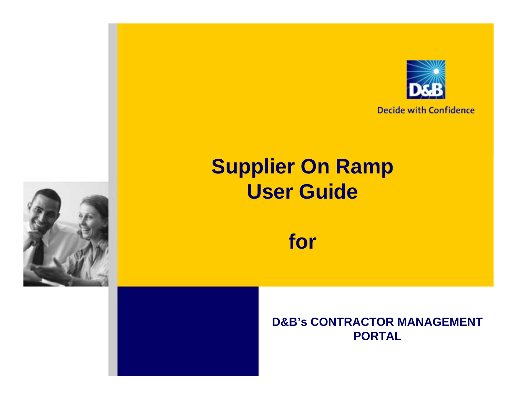

**Decide with Confidence** 

## **Supplier On Ramp User Guide**

**for**

### **D&B's CONTRACTOR MANAGEMENT PORTAL**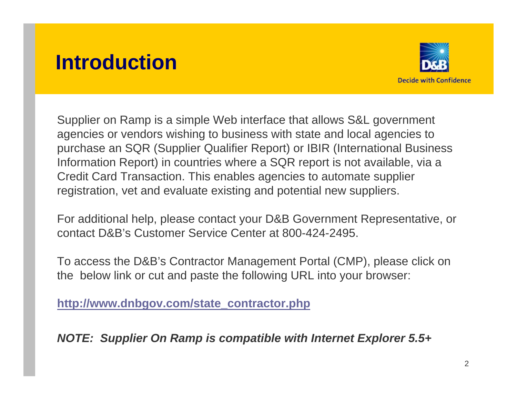## **Introduction**



Supplier on Ramp is a simple Web interface that allows S&L government agencies or vendors wishing to business with state and local agencies to purchase an SQR (Supplier Qualifier Report) or IBIR (International Business Information Report) in countries where a SQR report is not available, via a Credit Card Transaction. This enables agencies to automate supplier registration, vet and evaluate existing and potential new suppliers.

For additional help, please contact your D&B Government Representative, or contact D&B's Customer Service Center at 800-424-2495.

To access the D&B's Contractor Management Portal (CMP), please click on the below link or cut and paste the following URL into your browser:

**[http://www.dnbgov.com/state\\_contractor.php](http://www.dnbgov.com/state_contractor.php)**

*NOTE: Supplier On Ramp is compatible with Internet Explorer 5.5+*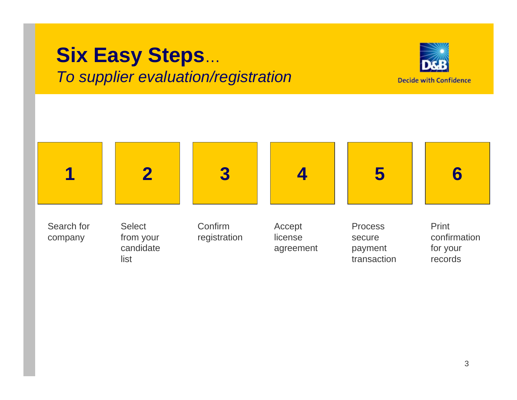### **Six Easy Steps**… *To supplier evaluation/registration*



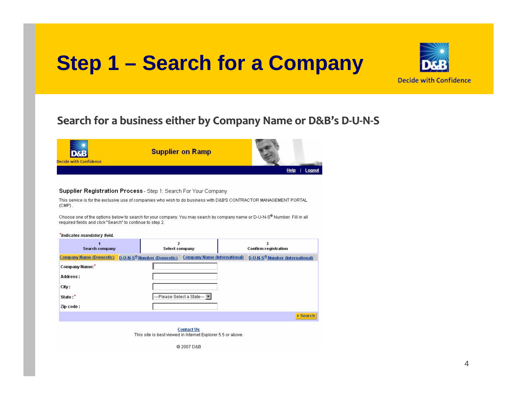## **Step 1 – Search for a Company**



#### **Search for a business business either by Company Company Name or D&B's D‐U‐N‐S**



#### Supplier Registration Process - Step 1: Search For Your Company

This service is for the exclusive use of companies who wish to do business with D&B'S CONTRACTOR MANAGEMENT PORTAL  $(CMP)$ .

Choose one of the options below to search for your company. You may search by company name or D-U-N-S® Number. Fill in all required fields and click "Search" to continue to step 2.

#### \*Indicates mandatory field

| <b>Search company</b>          | Select company                         |                                     | <b>Confirm registration</b>                 |
|--------------------------------|----------------------------------------|-------------------------------------|---------------------------------------------|
| <b>Company Name (Domestic)</b> | D-U-N-S <sup>®</sup> Number (Domestic) | <b>Company Name (International)</b> | D-U-N-S <sup>®</sup> Number (International) |
| Company Name:*                 |                                        |                                     |                                             |
| <b>Address:</b>                |                                        |                                     |                                             |
| City:                          |                                        |                                     |                                             |
| State:*                        |                                        | ---Please Select a State---         |                                             |
| Zip code:                      |                                        |                                     |                                             |
|                                |                                        |                                     | ▶ Search                                    |

**Contact Us** This site is best viewed in Internet Explorer 5.5 or above.

@2007D&B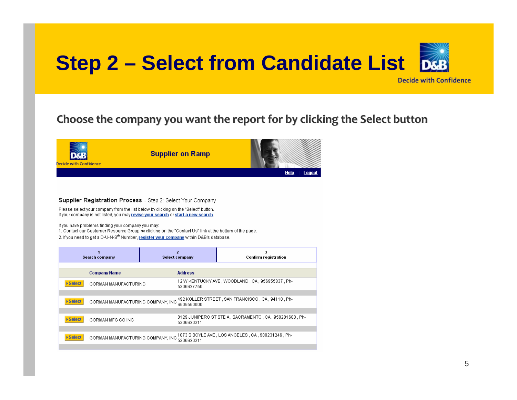

#### **Choose the company companyyou want the repor<sup>t</sup> for by clicking clicking the Selec t button**



#### Supplier Registration Process - Step 2: Select Your Company

Please select your company from the list below by clicking on the "Select" button. If your company is not listed, you may revise your search or start a new search.

If you have problems finding your company you may:

1. Contact our Customer Resource Group by clicking on the "Contact Us" link at the bottom of the page.

2. If you need to get a D-U-N-S® Number, register your company within D&B's database.

| Search company                   | $\overline{ }$<br><b>Select company</b>                                                          | 3<br>Confirm registration                                  |
|----------------------------------|--------------------------------------------------------------------------------------------------|------------------------------------------------------------|
|                                  |                                                                                                  |                                                            |
| <b>Company Name</b>              | <b>Address</b>                                                                                   |                                                            |
| ▶ Select<br>GORMAN MANUFACTURING | 5306627750                                                                                       | 12 W KENTUCKY AVE, WOODLAND, CA, 956955837, Ph-            |
|                                  |                                                                                                  |                                                            |
| ▶ Select                         | GORMAN MANUFACTURING COMPANY, INC SCREEGACO, STREET, SAN FRANCISCO, CA. 94110, Ph-               |                                                            |
|                                  |                                                                                                  |                                                            |
| ▶ Select<br>GORMAN MFG CO INC    | 5306620211                                                                                       | 8129 JUNIPERO ST STE A , SACRAMENTO , CA , 958281603 , Ph- |
|                                  |                                                                                                  |                                                            |
| ▶ Select                         | GORMAN MANUFACTURING COMPANY, INC COCCORDING AVE , LOS ANGELES, CA, 900231246, Ph-<br>5306620211 |                                                            |
|                                  |                                                                                                  |                                                            |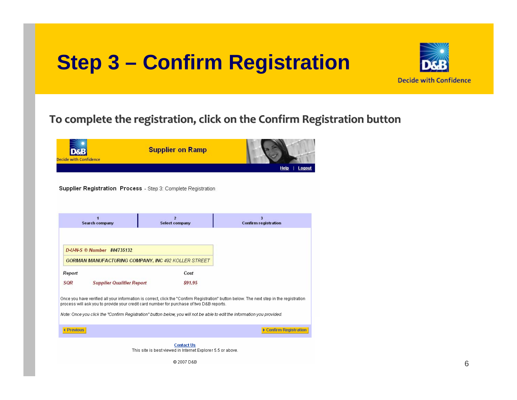## **Step 3 – Confirm Registration**



### To complete the registration, click on the Confirm Registration button



Supplier Registration Process - Step 3: Complete Registration

|                                                                                                                                                                                                                                      | Search company                   | $\overline{2}$<br><b>Select company</b>                                                                                  | 3<br><b>Confirm registration</b> |  |  |
|--------------------------------------------------------------------------------------------------------------------------------------------------------------------------------------------------------------------------------------|----------------------------------|--------------------------------------------------------------------------------------------------------------------------|----------------------------------|--|--|
|                                                                                                                                                                                                                                      |                                  |                                                                                                                          |                                  |  |  |
|                                                                                                                                                                                                                                      | $D UN-S$ ® Number 804735132      |                                                                                                                          |                                  |  |  |
| <b>GORMAN MANUFACTURING COMPANY, INC 492 KOLLER STREET</b>                                                                                                                                                                           |                                  |                                                                                                                          |                                  |  |  |
| Report                                                                                                                                                                                                                               |                                  | Cost                                                                                                                     |                                  |  |  |
| SQR                                                                                                                                                                                                                                  | <b>Supplier Qualifier Report</b> | \$91.95                                                                                                                  |                                  |  |  |
| Once you have verified all your information is correct, click the "Confirm Registration" button below. The next step in the registration<br>process will ask you to provide your credit card number for purchase of two D&B reports. |                                  |                                                                                                                          |                                  |  |  |
|                                                                                                                                                                                                                                      |                                  | Note: Once you click the "Confirm Registration" button below, you will not be able to edit the information you provided. |                                  |  |  |
| <b>4 Previous</b>                                                                                                                                                                                                                    |                                  |                                                                                                                          | <b>Confirm Registration</b>      |  |  |
|                                                                                                                                                                                                                                      |                                  |                                                                                                                          |                                  |  |  |

**Contact Us** This site is best viewed in Internet Explorer 5.5 or above.

@ 2007 D&B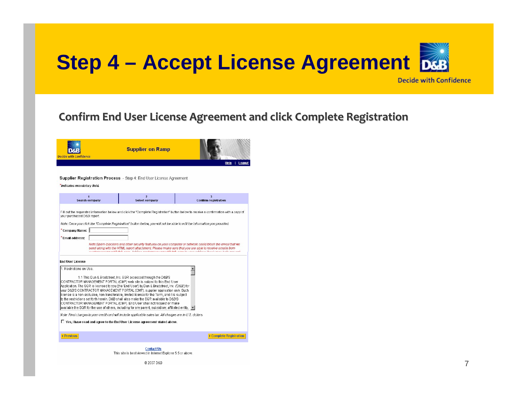

#### **Confirm ConfirmEnd User License License Agreement Agreement and click Complete Complete Registrati Registration**



#### Supplier Registration Process - Step 4: End User License Agreement

\*Indicates mandatory field.

|                                                                                                             | <b>Search company</b> | $\overline{2}$<br><b>Select company</b>                                                                                                                                                                                                                                                                                                                                                                                                                                                                                                                                                                                                                                                                    | <b>Confirm registration</b>                                                                                                                                                                                                                                                                                                          |  |  |
|-------------------------------------------------------------------------------------------------------------|-----------------------|------------------------------------------------------------------------------------------------------------------------------------------------------------------------------------------------------------------------------------------------------------------------------------------------------------------------------------------------------------------------------------------------------------------------------------------------------------------------------------------------------------------------------------------------------------------------------------------------------------------------------------------------------------------------------------------------------------|--------------------------------------------------------------------------------------------------------------------------------------------------------------------------------------------------------------------------------------------------------------------------------------------------------------------------------------|--|--|
| your purchased D&B report.                                                                                  |                       |                                                                                                                                                                                                                                                                                                                                                                                                                                                                                                                                                                                                                                                                                                            | Fill out the requested information below and click the "Complete Registration" button below to receive a confirmation with a copy of                                                                                                                                                                                                 |  |  |
|                                                                                                             |                       | Note: Once you click the "Complete Registration" button below, you will not be able to edit the information you provided.                                                                                                                                                                                                                                                                                                                                                                                                                                                                                                                                                                                  |                                                                                                                                                                                                                                                                                                                                      |  |  |
| *Company Name: 1                                                                                            |                       |                                                                                                                                                                                                                                                                                                                                                                                                                                                                                                                                                                                                                                                                                                            |                                                                                                                                                                                                                                                                                                                                      |  |  |
| * Fmail address:                                                                                            |                       |                                                                                                                                                                                                                                                                                                                                                                                                                                                                                                                                                                                                                                                                                                            |                                                                                                                                                                                                                                                                                                                                      |  |  |
|                                                                                                             |                       | a control shake a company of station of                                                                                                                                                                                                                                                                                                                                                                                                                                                                                                                                                                                                                                                                    | Note:Sparn-blockers and other security features on your computer or network could block the email that we<br>send along with the HTML report attachment. Please make sure that you are able to receive emails from<br>an discussion and consideration of the state of the contract of states and the state of the state of the first |  |  |
| <b>End User License</b>                                                                                     |                       |                                                                                                                                                                                                                                                                                                                                                                                                                                                                                                                                                                                                                                                                                                            |                                                                                                                                                                                                                                                                                                                                      |  |  |
| 1. Restrictions on Use.                                                                                     |                       | 1.1 This Dun & Bradstreet, Inc. SQR accessed through the D&B'S<br>CONTRACTOR MANAGEMENT PORTAL (CMP) web site is subject to this End User<br>Application. The SQR is licensed to you (the 'End User') by Dun & Bradstreet. Inc. ('D&B') for<br>your D&B'S CONTRACTOR MANAGEMENT PORTAL (CMP), supplier application only. Such<br>liicense is a non-exclusive, non-transferable, limited license for the Term, and it is subiect<br>lto the restrictions set forth herein. D&B shall also make the SQR available to D&B'S<br>CONTRACTOR MANAGEMENT PORTAL (CMP). End User shall not request or make<br>lavailable the SQR for the use of others, including for any parent, subsidiary, affiliated entity, I |                                                                                                                                                                                                                                                                                                                                      |  |  |
| Note: Final charges to your credit card will include applicable sales tax. All charges are in U.S. dollars. |                       |                                                                                                                                                                                                                                                                                                                                                                                                                                                                                                                                                                                                                                                                                                            |                                                                                                                                                                                                                                                                                                                                      |  |  |
| $\Box$ Yes, I have read and agree to the End User License agreement stated above.                           |                       |                                                                                                                                                                                                                                                                                                                                                                                                                                                                                                                                                                                                                                                                                                            |                                                                                                                                                                                                                                                                                                                                      |  |  |
| <b>4 Previous</b>                                                                                           |                       |                                                                                                                                                                                                                                                                                                                                                                                                                                                                                                                                                                                                                                                                                                            | Complete Registration                                                                                                                                                                                                                                                                                                                |  |  |
| <b>Contact Hs</b>                                                                                           |                       |                                                                                                                                                                                                                                                                                                                                                                                                                                                                                                                                                                                                                                                                                                            |                                                                                                                                                                                                                                                                                                                                      |  |  |

This site is best viewed in Internet Explorer 5.5 or above.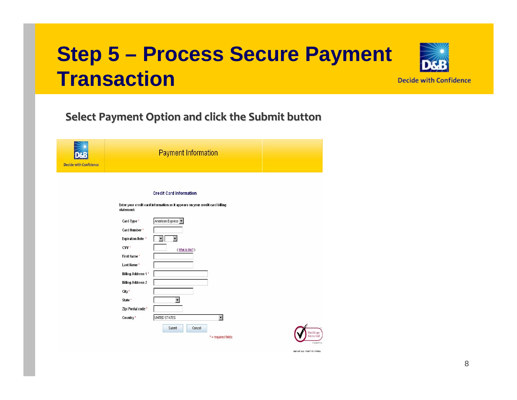## **Step 5 – Process Secure Payment Transaction**



### **Select Payment PaymentOption and click the Submit button**





ABOUT COL PERTIESTATES